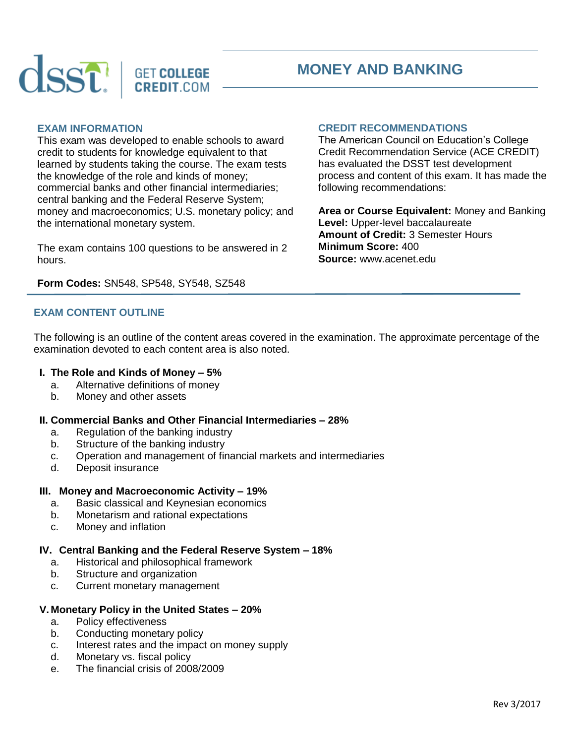

# **MONEY AND BANKING**

#### **EXAM INFORMATION**

This exam was developed to enable schools to award credit to students for knowledge equivalent to that learned by students taking the course. The exam tests the knowledge of the role and kinds of money; commercial banks and other financial intermediaries; central banking and the Federal Reserve System; money and macroeconomics; U.S. monetary policy; and the international monetary system.

The exam contains 100 questions to be answered in 2 hours.

**Form Codes:** SN548, SP548, SY548, SZ548

## **EXAM CONTENT OUTLINE**

The following is an outline of the content areas covered in the examination. The approximate percentage of the examination devoted to each content area is also noted.

#### **I. The Role and Kinds of Money – 5%**

- a. Alternative definitions of money
- b. Money and other assets

#### **II. Commercial Banks and Other Financial Intermediaries – 28%**

- a. Regulation of the banking industry
- b. Structure of the banking industry
- c. Operation and management of financial markets and intermediaries
- d. Deposit insurance

# **III. Money and Macroeconomic Activity – 19%**

- a. Basic classical and Keynesian economics
- b. Monetarism and rational expectations
- c. Money and inflation

# **IV. Central Banking and the Federal Reserve System – 18%**

- a. Historical and philosophical framework
- b. Structure and organization
- c. Current monetary management

# **V. Monetary Policy in the United States – 20%**

- a. Policy effectiveness
- b. Conducting monetary policy
- c. Interest rates and the impact on money supply
- d. Monetary vs. fiscal policy
- e. The financial crisis of 2008/2009

## **CREDIT RECOMMENDATIONS**

The American Council on Education's College Credit Recommendation Service (ACE CREDIT) has evaluated the DSST test development process and content of this exam. It has made the following recommendations:

**Area or Course Equivalent:** Money and Banking **Level:** Upper-level baccalaureate **Amount of Credit:** 3 Semester Hours **Minimum Score:** 400 **Source:** www.acenet.edu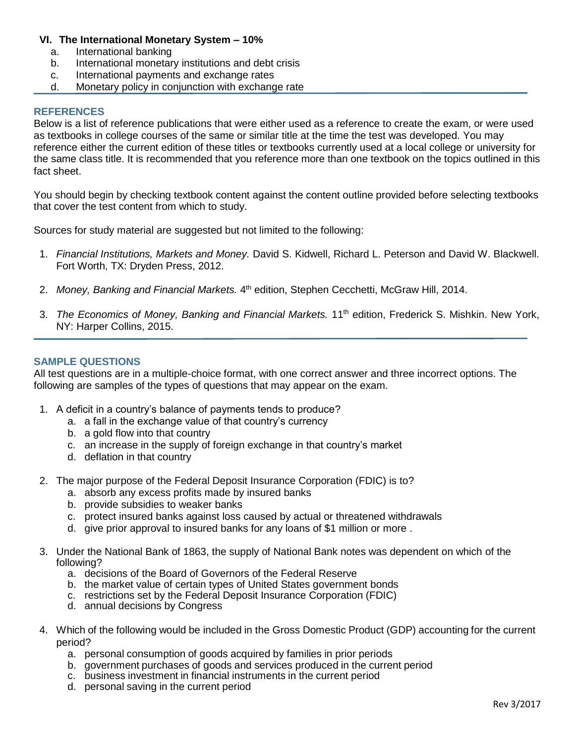### **VI. The International Monetary System – 10%**

- a. International banking
- b. International monetary institutions and debt crisis
- c. International payments and exchange rates
- d. Monetary policy in conjunction with exchange rate

### **REFERENCES**

Below is a list of reference publications that were either used as a reference to create the exam, or were used as textbooks in college courses of the same or similar title at the time the test was developed. You may reference either the current edition of these titles or textbooks currently used at a local college or university for the same class title. It is recommended that you reference more than one textbook on the topics outlined in this fact sheet.

You should begin by checking textbook content against the content outline provided before selecting textbooks that cover the test content from which to study.

Sources for study material are suggested but not limited to the following:

- 1. *Financial Institutions, Markets and Money.* David S. Kidwell, Richard L. Peterson and David W. Blackwell. Fort Worth, TX: Dryden Press, 2012.
- 2. Money, Banking and Financial Markets. 4<sup>th</sup> edition, Stephen Cecchetti, McGraw Hill, 2014.
- 3. *The Economics of Money, Banking and Financial Markets.* 11<sup>th</sup> edition, Frederick S. Mishkin. New York, NY: Harper Collins, 2015.

### **SAMPLE QUESTIONS**

All test questions are in a multiple-choice format, with one correct answer and three incorrect options. The following are samples of the types of questions that may appear on the exam.

- 1. A deficit in a country's balance of payments tends to produce?
	- a. a fall in the exchange value of that country's currency
	- b. a gold flow into that country
	- c. an increase in the supply of foreign exchange in that country's market
	- d. deflation in that country
- 2. The major purpose of the Federal Deposit Insurance Corporation (FDIC) is to?
	- a. absorb any excess profits made by insured banks
	- b. provide subsidies to weaker banks
	- c. protect insured banks against loss caused by actual or threatened withdrawals
	- d. give prior approval to insured banks for any loans of \$1 million or more .
- 3. Under the National Bank of 1863, the supply of National Bank notes was dependent on which of the following?
	- a. decisions of the Board of Governors of the Federal Reserve
	- b. the market value of certain types of United States government bonds
	- c. restrictions set by the Federal Deposit Insurance Corporation (FDIC)
	- d. annual decisions by Congress
- 4. Which of the following would be included in the Gross Domestic Product (GDP) accounting for the current period?
	- a. personal consumption of goods acquired by families in prior periods
	- b. government purchases of goods and services produced in the current period
	- c. business investment in financial instruments in the current period
	- d. personal saving in the current period